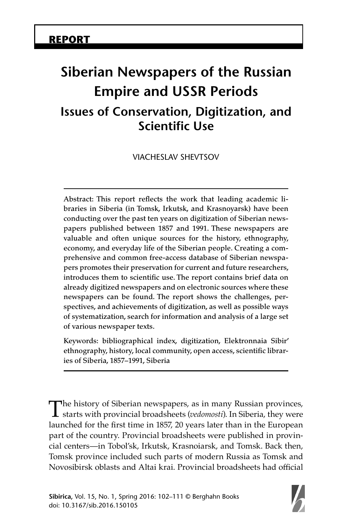## **Siberian Newspapers of the Russian Empire and USSR Periods Issues of Conservation, Digitization, and Scientific Use**

VIACHESLAV SHEVTSOV

Abstract: This report reflects the work that leading academic libraries in Siberia (in Tomsk, Irkutsk, and Krasnoyarsk) have been conducting over the past ten years on digitization of Siberian newspapers published between 1857 and 1991. These newspapers are valuable and often unique sources for the history, ethnography, economy, and everyday life of the Siberian people. Creating a comprehensive and common free-access database of Siberian newspapers promotes their preservation for current and future researchers, introduces them to scientific use. The report contains brief data on already digitized newspapers and on electronic sources where these newspapers can be found. The report shows the challenges, perspectives, and achievements of digitization, as well as possible ways of systematization, search for information and analysis of a large set of various newspaper texts.

Keywords: bibliographical index, digitization, Elektronnaia Sibir' ethnography, history, local community, open access, scientific libraries of Siberia, 1857–1991, Siberia

The history of Siberian newspapers, as in many Russian provinces,<br>starts with provincial broadsheets (*vedomosti*). In Siberia, they were launched for the first time in 1857, 20 years later than in the European part of the country. Provincial broadsheets were published in provincial centers—in Tobol'sk, Irkutsk, Krasnoiarsk, and Tomsk. Back then, Tomsk province included such parts of modern Russia as Tomsk and Novosibirsk oblasts and Altai krai. Provincial broadsheets had official

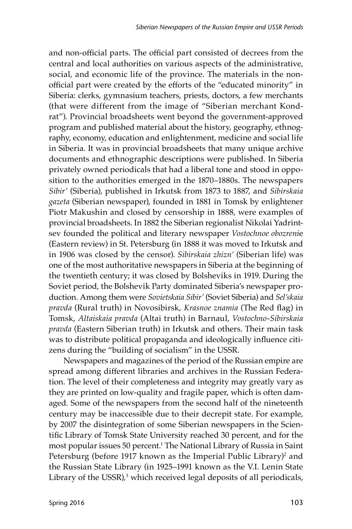and non-official parts. The official part consisted of decrees from the central and local authorities on various aspects of the administrative, social, and economic life of the province. The materials in the nonofficial part were created by the efforts of the "educated minority" in Siberia: clerks, gymnasium teachers, priests, doctors, a few merchants (that were different from the image of "Siberian merchant Kondrat"). Provincial broadsheets went beyond the government-approved program and published material about the history, geography, ethnography, economy, education and enlightenment, medicine and social life in Siberia. It was in provincial broadsheets that many unique archive documents and ethnographic descriptions were published. In Siberia privately owned periodicals that had a liberal tone and stood in opposition to the authorities emerged in the 1870–1880s. The newspapers *Sibir'* (Siberia), published in Irkutsk from 1873 to 1887, and *Sibirskaia gazeta* (Siberian newspaper), founded in 1881 in Tomsk by enlightener Piotr Makushin and closed by censorship in 1888, were examples of provincial broadsheets. In 1882 the Siberian regionalist Nikolai Yadrintsev founded the political and literary newspaper *Vostochnoe obozreni*e (Eastern review) in St. Petersburg (in 1888 it was moved to Irkutsk and in 1906 was closed by the censor). *Sibirskaia zhizn'* (Siberian life) was one of the most authoritative newspapers in Siberia at the beginning of the twentieth century; it was closed by Bolsheviks in 1919. During the Soviet period, the Bolshevik Party dominated Siberia's newspaper production. Among them were *Sovietskaia Sibir'* (Soviet Siberia) and *Sel'skaia pravda* (Rural truth) in Novosibirsk, *Krasnoe znamia* (The Red flag) in Tomsk, *Altaiskaia pravda* (Altai truth) in Barnaul, *Vostochno-Sibirskaia pravda* (Eastern Siberian truth) in Irkutsk and others. Their main task was to distribute political propaganda and ideologically influence citizens during the "building of socialism" in the USSR.

Newspapers and magazines of the period of the Russian empire are spread among different libraries and archives in the Russian Federation. The level of their completeness and integrity may greatly vary as they are printed on low-quality and fragile paper, which is often damaged. Some of the newspapers from the second half of the nineteenth century may be inaccessible due to their decrepit state. For example, by 2007 the disintegration of some Siberian newspapers in the Scientific Library of Tomsk State University reached 30 percent, and for the most popular issues 50 percent.<sup>1</sup> The National Library of Russia in Saint Petersburg (before 1917 known as the Imperial Public Library)<sup>2</sup> and the Russian State Library (in 1925–1991 known as the V.I. Lenin State Library of the USSR), $^3$  which received legal deposits of all periodicals,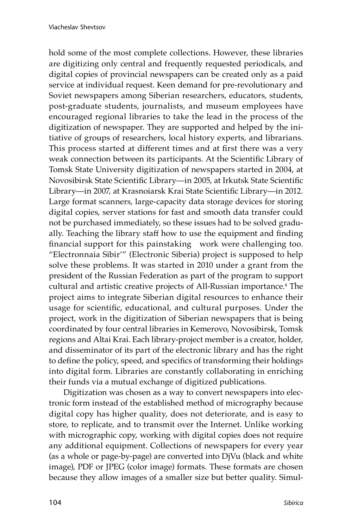hold some of the most complete collections. However, these libraries are digitizing only central and frequently requested periodicals, and digital copies of provincial newspapers can be created only as a paid service at individual request. Keen demand for pre-revolutionary and Soviet newspapers among Siberian researchers, educators, students, post-graduate students, journalists, and museum employees have encouraged regional libraries to take the lead in the process of the digitization of newspaper. They are supported and helped by the initiative of groups of researchers, local history experts, and librarians. This process started at different times and at first there was a very weak connection between its participants. At the Scientific Library of Tomsk State University digitization of newspapers started in 2004, at Novosibirsk State Scientific Library—in 2005, at Irkutsk State Scientific Library—in 2007, at Krasnoiarsk Krai State Scientific Library—in 2012. Large format scanners, large-capacity data storage devices for storing digital copies, server stations for fast and smooth data transfer could not be purchased immediately, so these issues had to be solved gradually. Teaching the library staff how to use the equipment and finding financial support for this painstaking work were challenging too. "Electronnaia Sibir'" (Electronic Siberia) project is supposed to help solve these problems. It was started in 2010 under a grant from the president of the Russian Federation as part of the program to support cultural and artistic creative projects of All-Russian importance.<sup>4</sup> The project aims to integrate Siberian digital resources to enhance their usage for scientific, educational, and cultural purposes. Under the project, work in the digitization of Siberian newspapers that is being coordinated by four central libraries in Kemerovo, Novosibirsk, Tomsk regions and Altai Krai. Each library-project member is a creator, holder, and disseminator of its part of the electronic library and has the right to define the policy, speed, and specifics of transforming their holdings into digital form. Libraries are constantly collaborating in enriching their funds via a mutual exchange of digitized publications.

Digitization was chosen as a way to convert newspapers into electronic form instead of the established method of micrography because digital copy has higher quality, does not deteriorate, and is easy to store, to replicate, and to transmit over the Internet. Unlike working with micrographic copy, working with digital copies does not require any additional equipment. Collections of newspapers for every year (as a whole or page-by-page) are converted into DjVu (black and white image), PDF or JPEG (color image) formats. These formats are chosen because they allow images of a smaller size but better quality. Simul-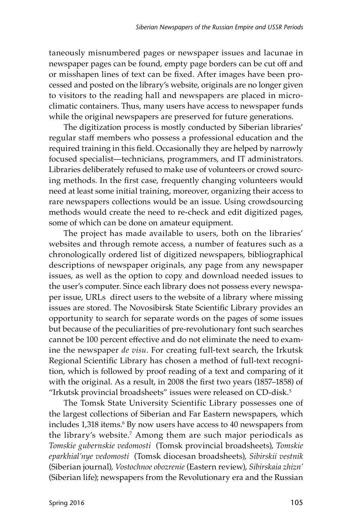taneously misnumbered pages or newspaper issues and lacunae in newspaper pages can be found, empty page borders can be cut off and or misshapen lines of text can be fixed. After images have been processed and posted on the library's website, originals are no longer given to visitors to the reading hall and newspapers are placed in microclimatic containers. Thus, many users have access to newspaper funds while the original newspapers are preserved for future generations.

The digitization process is mostly conducted by Siberian libraries' regular staff members who possess a professional education and the required training in this field. Occasionally they are helped by narrowly focused specialist—technicians, programmers, and IT administrators. Libraries deliberately refused to make use of volunteers or crowd sourcing methods. In the first case, frequently changing volunteers would need at least some initial training, moreover, organizing their access to rare newspapers collections would be an issue. Using crowdsourcing methods would create the need to re-check and edit digitized pages, some of which can be done on amateur equipment.

The project has made available to users, both on the libraries' websites and through remote access, a number of features such as a chronologically ordered list of digitized newspapers, bibliographical descriptions of newspaper originals, any page from any newspaper issues, as well as the option to copy and download needed issues to the user's computer. Since each library does not possess every newspaper issue, URLs direct users to the website of a library where missing issues are stored. The Novosibirsk State Scientific Library provides an opportunity to search for separate words on the pages of some issues but because of the peculiarities of pre-revolutionary font such searches cannot be 100 percent effective and do not eliminate the need to examine the newspaper *de visu*. For creating full-text search, the Irkutsk Regional Scientific Library has chosen a method of full-text recognition, which is followed by proof reading of a text and comparing of it with the original. As a result, in 2008 the first two years (1857–1858) of "Irkutsk provincial broadsheets" issues were released on CD-disk.<sup>5</sup>

The Tomsk State University Scientific Library possesses one of the largest collections of Siberian and Far Eastern newspapers, which includes 1,318 items.<sup>6</sup> By now users have access to 40 newspapers from the library's website.<sup>7</sup> Among them are such major periodicals as *Tomskie gubernskie vedomosti* (Tomsk provincial broadsheets), *Tomskie eparkhial'nye vedomosti* (Tomsk diocesan broadsheets), *Sibirskii vestnik* (Siberian journal), *Vostochnoe obozrenie* (Eastern review), *Sibirskaia zhizn'* (Siberian life); newspapers from the Revolutionary era and the Russian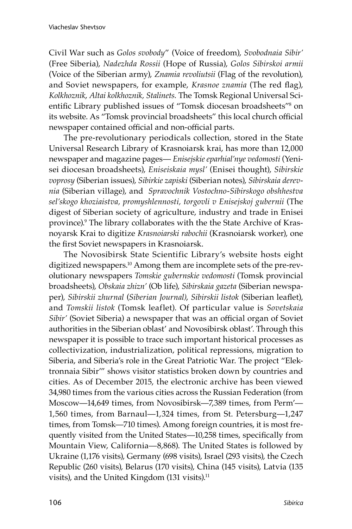Civil War such as *Golos svobody*" (Voice of freedom), *Svobodnaia Sibir'* (Free Siberia), *Nadezhda Rossii* (Hope of Russia), *Golos Sibirskoi armii* (Voice of the Siberian army), *Znamia revoliutsii* (Flag of the revolution), and Soviet newspapers, for example, *Krasnoe znamia* (The red flag), *Kolkhoznik*, *Altai kolkhoznik, Stalinets.* The Tomsk Regional Universal Scientific Library published issues of "Tomsk diocesan broadsheets"8 on its website. As "Tomsk provincial broadsheets" this local church official newspaper contained official and non-official parts.

The pre-revolutionary periodicals collection, stored in the State Universal Research Library of Krasnoiarsk krai, has more than 12,000 newspaper and magazine pages— *Enisejskie eparhial'nye vedomosti* (Yenisei diocesan broadsheets), *Eniseiskaia mysl'* (Enisei thought), *Sibirskie voprosy* (Siberian issues), *Sibirkie zapiski* (Siberian notes), *Sibirskaia derevnia* (Siberian village), and *Spravochnik Vostochno-Sibirskogo obshhestva sel'skogo khoziaistva, promyshlennosti, torgovli v Enisejskoj gubernii* (The digest of Siberian society of agriculture, industry and trade in Enisei province).<sup>9</sup> The library collaborates with the the State Archive of Krasnoyarsk Krai to digitize *Krasnoiarski rabochii* (Krasnoiarsk worker), one the first Soviet newspapers in Krasnoiarsk.

The Novosibirsk State Scientific Library's website hosts eight digitized newspapers.<sup>10</sup> Among them are incomplete sets of the pre-revolutionary newspapers *Tomskie gubernskie vedomosti* (Tomsk provincial broadsheets), *Obskaia zhizn'* (Ob life), *Sibirskaia gazeta* (Siberian newspaper), *Sibirskii zhurnal* (*Siberian Journal)*, *Sibirskii listok* (Siberian leaflet), and *Tomskii listok* (Tomsk leaflet). Of particular value is *Sovetskaia Sibir'* (Soviet Siberia) a newspaper that was an official organ of Soviet authorities in the Siberian oblast' and Novosibirsk oblast'. Through this newspaper it is possible to trace such important historical processes as collectivization, industrialization, political repressions, migration to Siberia, and Siberia's role in the Great Patriotic War. The project "Elektronnaia Sibir'" shows visitor statistics broken down by countries and cities. As of December 2015, the electronic archive has been viewed 34,980 times from the various cities across the Russian Federation (from Moscow—14,649 times, from Novosibirsk—7,389 times, from Perm'— 1,560 times, from Barnaul—1,324 times, from St. Petersburg—1,247 times, from Tomsk—710 times). Among foreign countries, it is most frequently visited from the United States—10,258 times, specifically from Mountain View, California—8,868). The United States is followed by Ukraine (1,176 visits), Germany (698 visits), Israel (293 visits), the Czech Republic (260 visits), Belarus (170 visits), China (145 visits), Latvia (135 visits), and the United Kingdom  $(131 \text{ visits})$ .<sup>11</sup>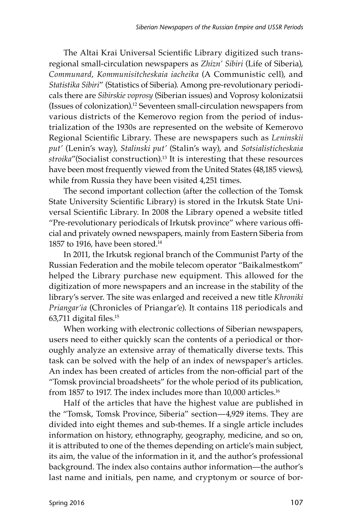The Altai Krai Universal Scientific Library digitized such transregional small-circulation newspapers as *Zhizn' Sibiri* (Life of Siberia), *Communard*, *Kommunisitcheskaia iacheika* (A Communistic cell), and *Statistika Sibiri*" (Statistics of Siberia). Among pre-revolutionary periodicals there are *Sibirskie voprosy* (Siberian issues) and Voprosy kolonizatsii (Issues of colonization).<sup>12</sup> Seventeen small-circulation newspapers from various districts of the Kemerovo region from the period of industrialization of the 1930s are represented on the website of Kemerovo Regional Scientific Library. These are newspapers such as *Leninskii put'* (Lenin's way), *Stalinski put'* (Stalin's way), and *Sotsialisticheskaia stroika*"(Socialist construction).13 It is interesting that these resources have been most frequently viewed from the United States (48,185 views), while from Russia they have been visited 4,251 times.

The second important collection (after the collection of the Tomsk State University Scientific Library) is stored in the Irkutsk State Universal Scientific Library. In 2008 the Library opened a website titled "Pre-revolutionary periodicals of Irkutsk province" where various official and privately owned newspapers, mainly from Eastern Siberia from 1857 to 1916, have been stored. $14$ 

In 2011, the Irkutsk regional branch of the Communist Party of the Russian Federation and the mobile telecom operator "Baikalmestkom" helped the Library purchase new equipment. This allowed for the digitization of more newspapers and an increase in the stability of the library's server. The site was enlarged and received a new title *Khroniki Priangar'ia* (Chronicles of Priangar'e). It contains 118 periodicals and 63,711 digital files. $15$ 

When working with electronic collections of Siberian newspapers, users need to either quickly scan the contents of a periodical or thoroughly analyze an extensive array of thematically diverse texts. This task can be solved with the help of an index of newspaper's articles. An index has been created of articles from the non-official part of the "Tomsk provincial broadsheets" for the whole period of its publication, from 1857 to 1917. The index includes more than 10,000 articles.<sup>16</sup>

Half of the articles that have the highest value are published in the "Tomsk, Tomsk Province, Siberia" section—4,929 items. They are divided into eight themes and sub-themes. If a single article includes information on history, ethnography, geography, medicine, and so on, it is attributed to one of the themes depending on article's main subject, its aim, the value of the information in it, and the author's professional background. The index also contains author information—the author's last name and initials, pen name, and cryptonym or source of bor-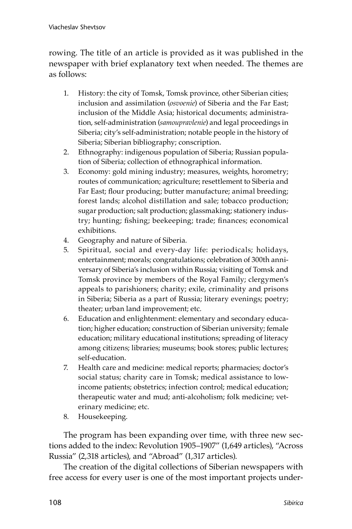rowing. The title of an article is provided as it was published in the newspaper with brief explanatory text when needed. The themes are as follows:

- 1. History: the city of Tomsk, Tomsk province, other Siberian cities; inclusion and assimilation (*osvoenie*) of Siberia and the Far East; inclusion of the Middle Asia; historical documents; administration, self-administration (*samoupravlenie*) and legal proceedings in Siberia; city's self-administration; notable people in the history of Siberia; Siberian bibliography; conscription.
- 2. Ethnography: indigenous population of Siberia; Russian population of Siberia; collection of ethnographical information.
- 3. Economy: gold mining industry; measures, weights, horometry; routes of communication; agriculture; resettlement to Siberia and Far East; flour producing; butter manufacture; animal breeding; forest lands; alcohol distillation and sale; tobacco production; sugar production; salt production; glassmaking; stationery industry; hunting; fishing; beekeeping; trade; finances; economical exhibitions.
- 4. Geography and nature of Siberia.
- 5. Spiritual, social and every-day life: periodicals; holidays, entertainment; morals; congratulations; celebration of 300th anniversary of Siberia's inclusion within Russia; visiting of Tomsk and Tomsk province by members of the Royal Family; clergymen's appeals to parishioners; charity; exile, criminality and prisons in Siberia; Siberia as a part of Russia; literary evenings; poetry; theater; urban land improvement; etc.
- 6. Education and enlightenment: elementary and secondary education; higher education; construction of Siberian university; female education; military educational institutions; spreading of literacy among citizens; libraries; museums; book stores; public lectures; self-education.
- 7. Health care and medicine: medical reports; pharmacies; doctor's social status; charity care in Tomsk; medical assistance to lowincome patients; obstetrics; infection control; medical education; therapeutic water and mud; anti-alcoholism; folk medicine; veterinary medicine; etc.
- 8. Housekeeping.

The program has been expanding over time, with three new sections added to the index: Revolution 1905–1907" (1,649 articles), "Across Russia" (2,318 articles), and "Abroad" (1,317 articles).

The creation of the digital collections of Siberian newspapers with free access for every user is one of the most important projects under-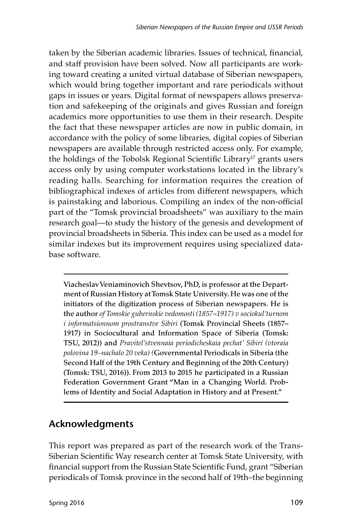taken by the Siberian academic libraries. Issues of technical, financial, and staff provision have been solved. Now all participants are working toward creating a united virtual database of Siberian newspapers, which would bring together important and rare periodicals without gaps in issues or years. Digital format of newspapers allows preservation and safekeeping of the originals and gives Russian and foreign academics more opportunities to use them in their research. Despite the fact that these newspaper articles are now in public domain, in accordance with the policy of some libraries, digital copies of Siberian newspapers are available through restricted access only. For example, the holdings of the Tobolsk Regional Scientific Library<sup>17</sup> grants users access only by using computer workstations located in the library's reading halls. Searching for information requires the creation of bibliographical indexes of articles from different newspapers, which is painstaking and laborious. Compiling an index of the non-official part of the "Tomsk provincial broadsheets" was auxiliary to the main research goal—to study the history of the genesis and development of provincial broadsheets in Siberia. This index can be used as a model for similar indexes but its improvement requires using specialized database software.

Viacheslav Veniaminovich Shevtsov, PhD, is professor at the Department of Russian History at Tomsk State University. He was one of the initiators of the digitization process of Siberian newspapers. He is the author *of Tomskie gubernskie vedomosti (1857*–*1917) v sociokul'turnom i informatsionnom prostranstve Sibiri* (Tomsk Provincial Sheets (1857– 1917) in Sociocultural and Information Space of Siberia (Tomsk: TSU, 2012)) and *Pravitel'stvennaia periodicheskaia pechat' Sibiri (vtoraia polovina 19–nachalo 20 veka) (*Governmental Periodicals in Siberia (the Second Half of the 19th Century and Beginning of the 20th Century) (Tomsk: TSU, 2016)). From 2013 to 2015 he participated in a Russian Federation Government Grant "Man in a Changing World. Problems of Identity and Social Adaptation in History and at Present."

## **Acknowledgments**

This report was prepared as part of the research work of the Trans-Siberian Scientific Way research center at Tomsk State University, with financial support from the Russian State Scientific Fund, grant "Siberian periodicals of Tomsk province in the second half of 19th–the beginning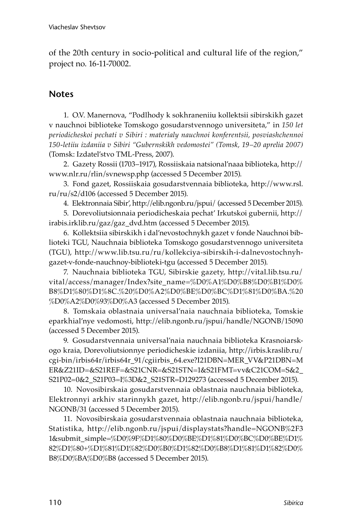of the 20th century in socio-political and cultural life of the region," project no. 16-11-70002.

## **Notes**

1. O.V. Manernova, "Podlhody k sokhraneniiu kollektsii sibirskikh gazet v nauchnoi biblioteke Tomskogo gosudarstvennogo universiteta," in *150 let periodicheskoi pechati v Sibiri : materialy nauchnoi konferentsii, posviashchennoi 150-letiiu izdaniia v Sibiri "Gubernskikh vedomostei" (Tomsk, 19–20 aprelia 2007)*  (Tomsk: Izdatel'stvo TML-Press, 2007).

2. Gazety Rossii (1703–1917), Rossiiskaia natsional'naaa biblioteka, http:// www.nlr.ru/rlin/svnewsp.php (accessed 5 December 2015).

3. Fond gazet, Rossiiskaia gosudarstvennaia biblioteka, http://www.rsl. ru/ru/s2/d106 (accessed 5 December 2015).

4. Elektronnaia Sibir', http://elib.ngonb.ru/jspui/ (accessed 5 December 2015).

5. Dorevoliutsionnaia periodicheskaia pechat' Irkutskoi gubernii, http:// irabis.irklib.ru/gaz/gaz\_dvd.htm (accessed 5 December 2015).

6. Kollektsiia sibirskikh i dal'nevostochnykh gazet v fonde Nauchnoi biblioteki TGU, Nauchnaia biblioteka Tomskogo gosudarstvennogo universiteta (TGU), http://www.lib.tsu.ru/ru/kollekciya-sibirskih-i-dalnevostochnyhgazet-v-fonde-nauchnoy-biblioteki-tgu (accessed 5 December 2015).

7. Nauchnaia biblioteka TGU, Sibirskie gazety, http://vital.lib.tsu.ru/ vital/access/manager/Index?site\_name=%D0%A1%D0%B8%D0%B1%D0% B8%D1%80%D1%8C.%20%D0%A2%D0%BE%D0%BC%D1%81%D0%BA.%20 %D0%A2%D0%93%D0%A3 (accessed 5 December 2015).

8. Tomskaia oblastnaia universal'naia nauchnaia biblioteka, Tomskie eparkhial'nye vedomosti, http://elib.ngonb.ru/jspui/handle/NGONB/15090 (accessed 5 December 2015).

9. Gosudarstvennaia universal'naia nauchnaia biblioteka Krasnoiarskogo kraia, Dorevoliutsionnye periodicheskie izdaniia, http://irbis.kraslib.ru/ cgi-bin/irbis64r/irbis64r\_91/cgiirbis\_64.exe?I21DBN=MER\_VV&P21DBN=M ER&Z21ID=&S21REF=&S21CNR=&S21STN=1&S21FMT=vv&C21COM=S&2\_ S21P02=0&2\_S21P03=I%3D&2\_S21STR=D129273 (accessed 5 December 2015).

10. Novosibirskaia gosudarstvennaia oblastnaia nauchnaia biblioteka, Elektronnyi arkhiv starinnykh gazet, http://elib.ngonb.ru/jspui/handle/ NGONB/31 (accessed 5 December 2015).

11. Novosibirskaia gosudarstvennaia oblastnaia nauchnaia biblioteka, Statistika, http://elib.ngonb.ru/jspui/displaystats?handle=NGONB%2F3 1&submit\_simple=%D0%9F%D1%80%D0%BE%D1%81%D0%BC%D0%BE%D1% 82%D1%80+%D1%81%D1%82%D0%B0%D1%82%D0%B8%D1%81%D1%82%D0% B8%D0%BA%D0%B8 (accessed 5 December 2015).